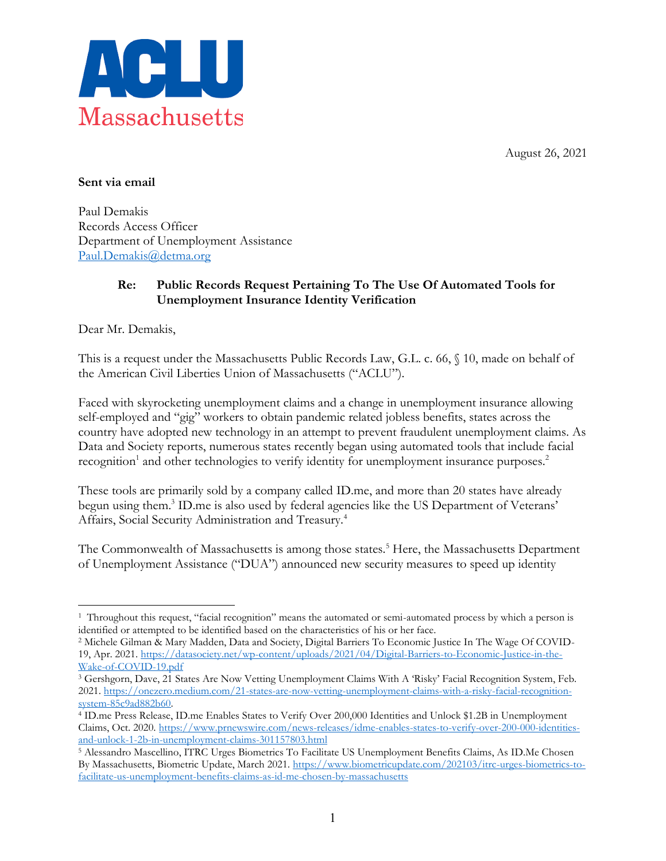August 26, 2021



## **Sent via email**

Paul Demakis Records Access Officer Department of Unemployment Assistance [Paul.Demakis@detma.org](mailto:Paul.Demakis@detma.org)

## **Re: Public Records Request Pertaining To The Use Of Automated Tools for Unemployment Insurance Identity Verification**

Dear Mr. Demakis,

 $\overline{a}$ 

This is a request under the Massachusetts Public Records Law, G.L. c. 66, § 10, made on behalf of the American Civil Liberties Union of Massachusetts ("ACLU").

Faced with skyrocketing unemployment claims and a change in unemployment insurance allowing self-employed and "gig" workers to obtain pandemic related jobless benefits, states across the country have adopted new technology in an attempt to prevent fraudulent unemployment claims. As Data and Society reports, numerous states recently began using automated tools that include facial recognition<sup>1</sup> and other technologies to verify identity for unemployment insurance purposes.<sup>2</sup>

These tools are primarily sold by a company called ID.me, and more than 20 states have already begun using them. <sup>3</sup> ID.me is also used by federal agencies like the US Department of Veterans' Affairs, Social Security Administration and Treasury.4

The Commonwealth of Massachusetts is among those states.<sup>5</sup> Here, the Massachusetts Department of Unemployment Assistance ("DUA") announced new security measures to speed up identity

<sup>1</sup> Throughout this request, "facial recognition" means the automated or semi-automated process by which a person is identified or attempted to be identified based on the characteristics of his or her face.

<sup>2</sup> Michele Gilman & Mary Madden, Data and Society, Digital Barriers To Economic Justice In The Wage Of COVID-19, Apr. 2021. [https://datasociety.net/wp-content/uploads/2021/04/Digital-Barriers-to-Economic-Justice-in-the-](https://datasociety.net/wp-content/uploads/2021/04/Digital-Barriers-to-Economic-Justice-in-the-Wake-of-COVID-19.pdf)[Wake-of-COVID-19.pdf](https://datasociety.net/wp-content/uploads/2021/04/Digital-Barriers-to-Economic-Justice-in-the-Wake-of-COVID-19.pdf)

<sup>3</sup> Gershgorn, Dave, 21 States Are Now Vetting Unemployment Claims With A 'Risky' Facial Recognition System, Feb. 2021. [https://onezero.medium.com/21-states-are-now-vetting-unemployment-claims-with-a-risky-facial-recognition](https://onezero.medium.com/21-states-are-now-vetting-unemployment-claims-with-a-risky-facial-recognition-system-85c9ad882b60)[system-85c9ad882b60.](https://onezero.medium.com/21-states-are-now-vetting-unemployment-claims-with-a-risky-facial-recognition-system-85c9ad882b60)<br><sup>4</sup> ID.me Press Release, ID.me Enables States to Verify Over 200,000 Identities and Unlock \$1.2B in Unemployment

Claims, Oct. 2020. [https://www.prnewswire.com/news-releases/idme-enables-states-to-verify-over-200-000-identities](https://www.prnewswire.com/news-releases/idme-enables-states-to-verify-over-200-000-identities-and-unlock-1-2b-in-unemployment-claims-301157803.html)[and-unlock-1-2b-in-unemployment-claims-301157803.html](https://www.prnewswire.com/news-releases/idme-enables-states-to-verify-over-200-000-identities-and-unlock-1-2b-in-unemployment-claims-301157803.html)

<sup>5</sup> Alessandro Mascellino, ITRC Urges Biometrics To Facilitate US Unemployment Benefits Claims, As ID.Me Chosen By Massachusetts, Biometric Update, March 2021. [https://www.biometricupdate.com/202103/itrc-urges-biometrics-to](https://www.biometricupdate.com/202103/itrc-urges-biometrics-to-facilitate-us-unemployment-benefits-claims-as-id-me-chosen-by-massachusetts)[facilitate-us-unemployment-benefits-claims-as-id-me-chosen-by-massachusetts](https://www.biometricupdate.com/202103/itrc-urges-biometrics-to-facilitate-us-unemployment-benefits-claims-as-id-me-chosen-by-massachusetts)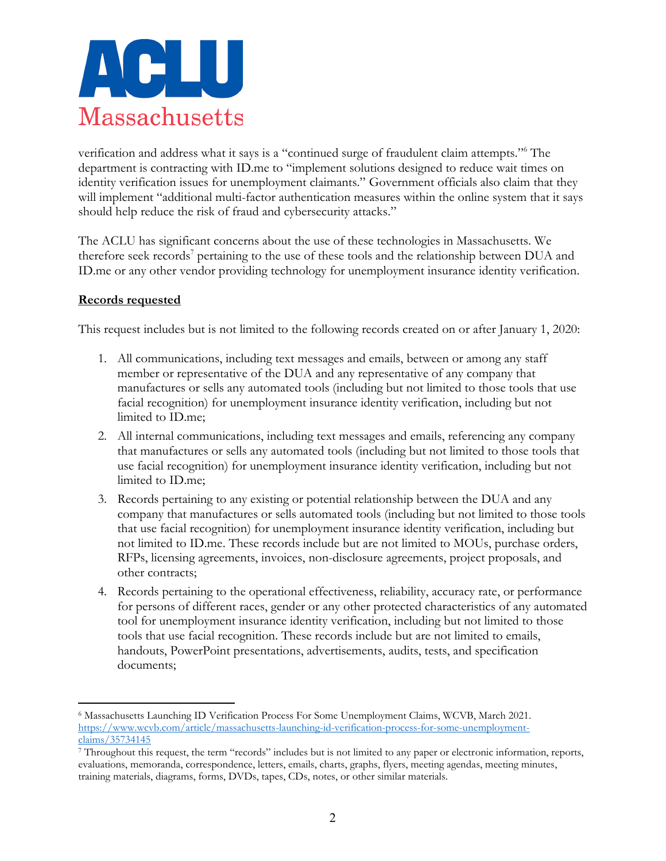

verification and address what it says is a "continued surge of fraudulent claim attempts."<sup>6</sup> The department is contracting with ID.me to "implement solutions designed to reduce wait times on identity verification issues for unemployment claimants." Government officials also claim that they will implement "additional multi-factor authentication measures within the online system that it says should help reduce the risk of fraud and cybersecurity attacks."

The ACLU has significant concerns about the use of these technologies in Massachusetts. We therefore seek records<sup>7</sup> pertaining to the use of these tools and the relationship between DUA and ID.me or any other vendor providing technology for unemployment insurance identity verification.

## **Records requested**

 $\overline{a}$ 

This request includes but is not limited to the following records created on or after January 1, 2020:

- 1. All communications, including text messages and emails, between or among any staff member or representative of the DUA and any representative of any company that manufactures or sells any automated tools (including but not limited to those tools that use facial recognition) for unemployment insurance identity verification, including but not limited to ID.me;
- 2. All internal communications, including text messages and emails, referencing any company that manufactures or sells any automated tools (including but not limited to those tools that use facial recognition) for unemployment insurance identity verification, including but not limited to ID.me;
- 3. Records pertaining to any existing or potential relationship between the DUA and any company that manufactures or sells automated tools (including but not limited to those tools that use facial recognition) for unemployment insurance identity verification, including but not limited to ID.me. These records include but are not limited to MOUs, purchase orders, RFPs, licensing agreements, invoices, non-disclosure agreements, project proposals, and other contracts;
- 4. Records pertaining to the operational effectiveness, reliability, accuracy rate, or performance for persons of different races, gender or any other protected characteristics of any automated tool for unemployment insurance identity verification, including but not limited to those tools that use facial recognition. These records include but are not limited to emails, handouts, PowerPoint presentations, advertisements, audits, tests, and specification documents;

<sup>6</sup> Massachusetts Launching ID Verification Process For Some Unemployment Claims, WCVB, March 2021. [https://www.wcvb.com/article/massachusetts-launching-id-verification-process-for-some-unemployment](https://www.wcvb.com/article/massachusetts-launching-id-verification-process-for-some-unemployment-claims/35734145)[claims/35734145](https://www.wcvb.com/article/massachusetts-launching-id-verification-process-for-some-unemployment-claims/35734145)

<sup>7</sup> Throughout this request, the term "records" includes but is not limited to any paper or electronic information, reports, evaluations, memoranda, correspondence, letters, emails, charts, graphs, flyers, meeting agendas, meeting minutes, training materials, diagrams, forms, DVDs, tapes, CDs, notes, or other similar materials.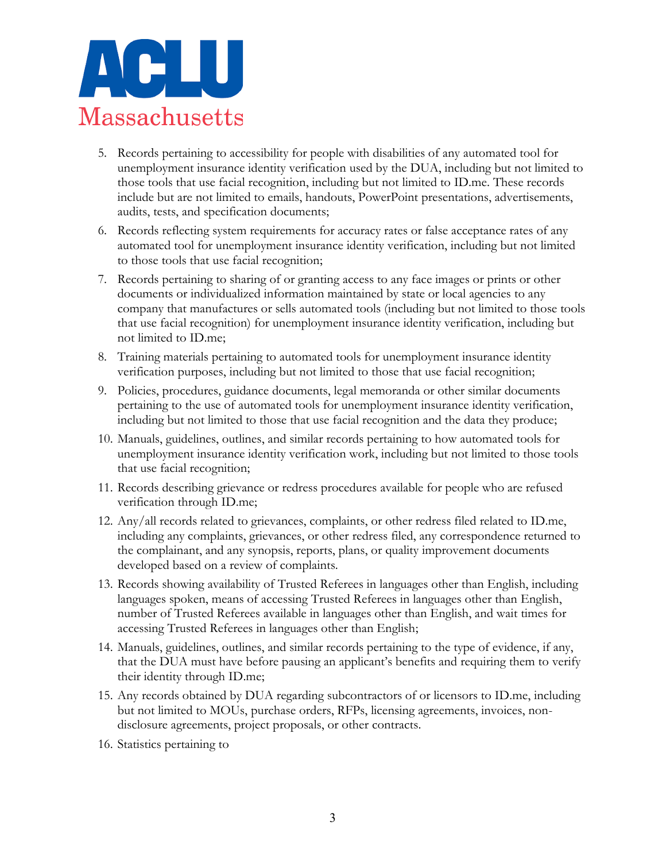

- 5. Records pertaining to accessibility for people with disabilities of any automated tool for unemployment insurance identity verification used by the DUA, including but not limited to those tools that use facial recognition, including but not limited to ID.me. These records include but are not limited to emails, handouts, PowerPoint presentations, advertisements, audits, tests, and specification documents;
- 6. Records reflecting system requirements for accuracy rates or false acceptance rates of any automated tool for unemployment insurance identity verification, including but not limited to those tools that use facial recognition;
- 7. Records pertaining to sharing of or granting access to any face images or prints or other documents or individualized information maintained by state or local agencies to any company that manufactures or sells automated tools (including but not limited to those tools that use facial recognition) for unemployment insurance identity verification, including but not limited to ID.me;
- 8. Training materials pertaining to automated tools for unemployment insurance identity verification purposes, including but not limited to those that use facial recognition;
- 9. Policies, procedures, guidance documents, legal memoranda or other similar documents pertaining to the use of automated tools for unemployment insurance identity verification, including but not limited to those that use facial recognition and the data they produce;
- 10. Manuals, guidelines, outlines, and similar records pertaining to how automated tools for unemployment insurance identity verification work, including but not limited to those tools that use facial recognition;
- 11. Records describing grievance or redress procedures available for people who are refused verification through ID.me;
- 12. Any/all records related to grievances, complaints, or other redress filed related to ID.me, including any complaints, grievances, or other redress filed, any correspondence returned to the complainant, and any synopsis, reports, plans, or quality improvement documents developed based on a review of complaints.
- 13. Records showing availability of Trusted Referees in languages other than English, including languages spoken, means of accessing Trusted Referees in languages other than English, number of Trusted Referees available in languages other than English, and wait times for accessing Trusted Referees in languages other than English;
- 14. Manuals, guidelines, outlines, and similar records pertaining to the type of evidence, if any, that the DUA must have before pausing an applicant's benefits and requiring them to verify their identity through ID.me;
- 15. Any records obtained by DUA regarding subcontractors of or licensors to ID.me, including but not limited to MOUs, purchase orders, RFPs, licensing agreements, invoices, nondisclosure agreements, project proposals, or other contracts.
- 16. Statistics pertaining to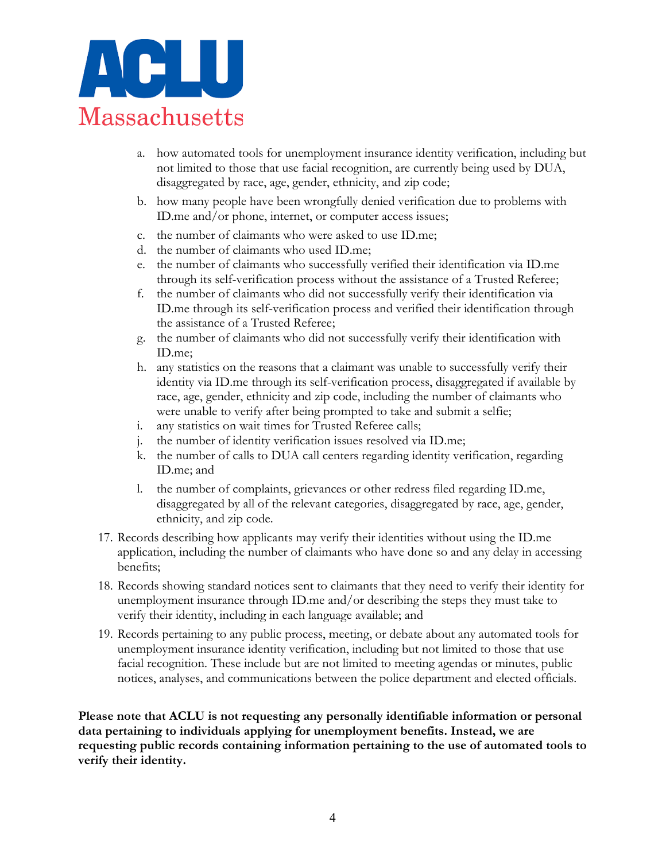

- a. how automated tools for unemployment insurance identity verification, including but not limited to those that use facial recognition, are currently being used by DUA, disaggregated by race, age, gender, ethnicity, and zip code;
- b. how many people have been wrongfully denied verification due to problems with ID.me and/or phone, internet, or computer access issues;
- c. the number of claimants who were asked to use ID.me;
- d. the number of claimants who used ID.me;
- e. the number of claimants who successfully verified their identification via ID.me through its self-verification process without the assistance of a Trusted Referee;
- f. the number of claimants who did not successfully verify their identification via ID.me through its self-verification process and verified their identification through the assistance of a Trusted Referee;
- g. the number of claimants who did not successfully verify their identification with ID.me;
- h. any statistics on the reasons that a claimant was unable to successfully verify their identity via ID.me through its self-verification process, disaggregated if available by race, age, gender, ethnicity and zip code, including the number of claimants who were unable to verify after being prompted to take and submit a selfie;
- i. any statistics on wait times for Trusted Referee calls;
- j. the number of identity verification issues resolved via ID.me;
- k. the number of calls to DUA call centers regarding identity verification, regarding ID.me; and
- l. the number of complaints, grievances or other redress filed regarding ID.me, disaggregated by all of the relevant categories, disaggregated by race, age, gender, ethnicity, and zip code.
- 17. Records describing how applicants may verify their identities without using the ID.me application, including the number of claimants who have done so and any delay in accessing benefits;
- 18. Records showing standard notices sent to claimants that they need to verify their identity for unemployment insurance through ID.me and/or describing the steps they must take to verify their identity, including in each language available; and
- 19. Records pertaining to any public process, meeting, or debate about any automated tools for unemployment insurance identity verification, including but not limited to those that use facial recognition. These include but are not limited to meeting agendas or minutes, public notices, analyses, and communications between the police department and elected officials.

**Please note that ACLU is not requesting any personally identifiable information or personal data pertaining to individuals applying for unemployment benefits. Instead, we are requesting public records containing information pertaining to the use of automated tools to verify their identity.**